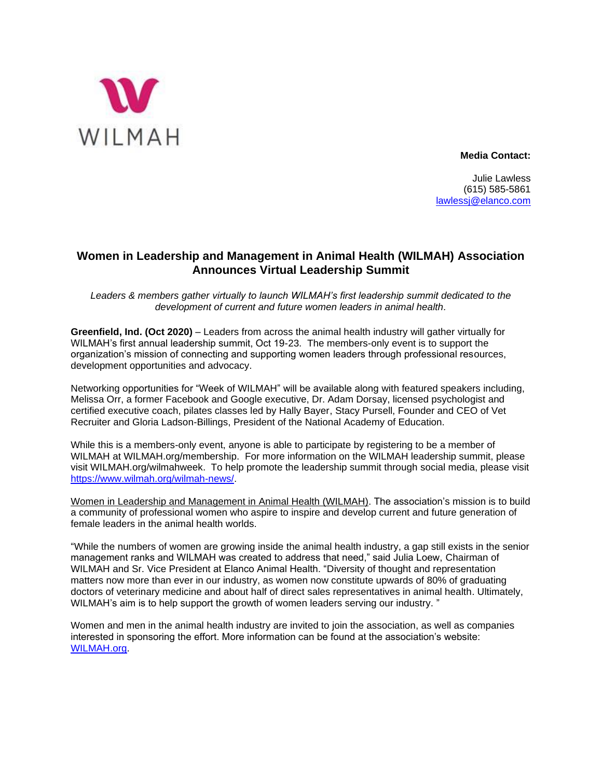

**Media Contact:**

Julie Lawless (615) 585-5861 [lawlessj@elanco.com](mailto:lawlessj@elanco.com)

## **Women in Leadership and Management in Animal Health (WILMAH) Association Announces Virtual Leadership Summit**

*Leaders & members gather virtually to launch WILMAH's first leadership summit dedicated to the development of current and future women leaders in animal health.*

**Greenfield, Ind. (Oct 2020)** – Leaders from across the animal health industry will gather virtually for WILMAH's first annual leadership summit, Oct 19-23. The members-only event is to support the organization's mission of connecting and supporting women leaders through professional resources, development opportunities and advocacy.

Networking opportunities for "Week of WILMAH" will be available along with featured speakers including, Melissa Orr, a former Facebook and Google executive, Dr. Adam Dorsay, licensed psychologist and certified executive coach, pilates classes led by Hally Bayer, Stacy Pursell, Founder and CEO of Vet Recruiter and Gloria Ladson-Billings, President of the National Academy of Education.

While this is a members-only event, anyone is able to participate by registering to be a member of WILMAH at WILMAH.org/membership. For more information on the WILMAH leadership summit, please visit WILMAH.org/wilmahweek. To help promote the leadership summit through social media, please visit [https://www.wilmah.org/wilmah-news/.](https://nam12.safelinks.protection.outlook.com/?url=https%3A%2F%2Fwww.wilmah.org%2Fwilmah-news%2F&data=02%7C01%7C%7Cd187de7c89fb4719ed1708d86d39c3bf%7C8e41baccbaba48d69fcb708bd1208e38%7C0%7C0%7C637379442157156282&sdata=T1sw%2FEpX9AShdbQt4wNSpH3PhxKJPynt70lzaVJ5NCs%3D&reserved=0)

[Women in Leadership and Management in Animal Health \(WILMAH\).](https://www.wilmah.org/) The association's mission is to build a community of professional women who aspire to inspire and develop current and future generation of female leaders in the animal health worlds.

"While the numbers of women are growing inside the animal health industry, a gap still exists in the senior management ranks and WILMAH was created to address that need," said Julia Loew, Chairman of WILMAH and Sr. Vice President at Elanco Animal Health. "Diversity of thought and representation matters now more than ever in our industry, as women now constitute upwards of 80% of graduating doctors of veterinary medicine and about half of direct sales representatives in animal health. Ultimately, WILMAH's aim is to help support the growth of women leaders serving our industry. "

Women and men in the animal health industry are invited to join the association, as well as companies interested in sponsoring the effort. More information can be found at the association's website: [WILMAH.org.](https://www.wilmah.org/)